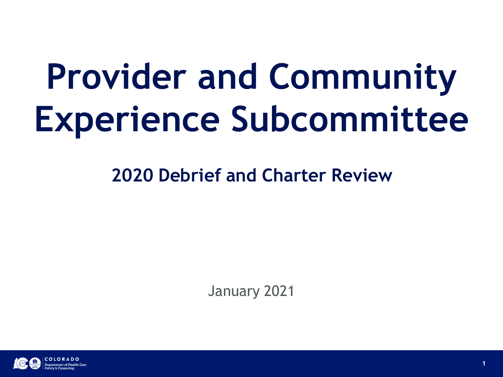# **Provider and Community Experience Subcommittee**

**2020 Debrief and Charter Review**

January 2021

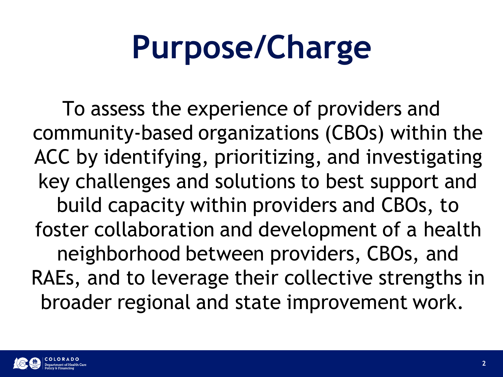### **Purpose/Charge**

To assess the experience of providers and community-based organizations (CBOs) within the ACC by identifying, prioritizing, and investigating key challenges and solutions to best support and build capacity within providers and CBOs, to foster collaboration and development of a health neighborhood between providers, CBOs, and RAEs, and to leverage their collective strengths in broader regional and state improvement work.

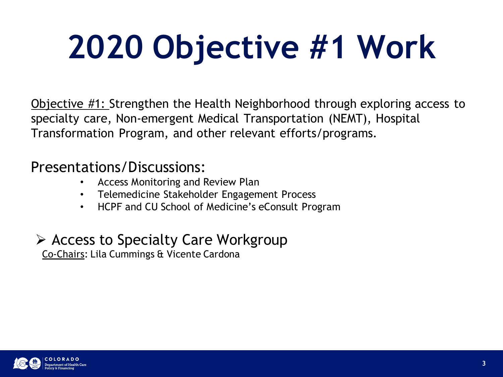## **2020 Objective #1 Work**

Objective #1: Strengthen the Health Neighborhood through exploring access to specialty care, Non-emergent Medical Transportation (NEMT), Hospital Transformation Program, and other relevant efforts/programs.

#### Presentations/Discussions:

- Access Monitoring and Review Plan
- Telemedicine Stakeholder Engagement Process
- HCPF and CU School of Medicine's eConsult Program

### ➢ Access to Specialty Care Workgroup

Co-Chairs: Lila Cummings & Vicente Cardona

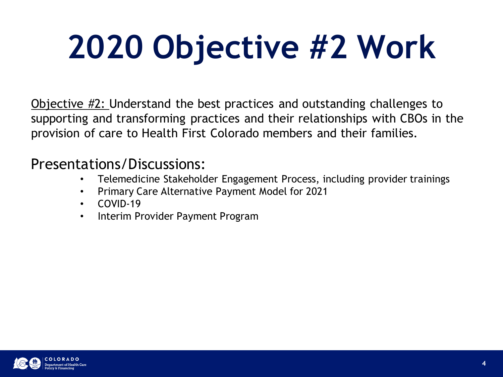## **2020 Objective #2 Work**

Objective #2: Understand the best practices and outstanding challenges to supporting and transforming practices and their relationships with CBOs in the provision of care to Health First Colorado members and their families.

#### Presentations/Discussions:

- Telemedicine Stakeholder Engagement Process, including provider trainings
- Primary Care Alternative Payment Model for 2021
- COVID-19
- Interim Provider Payment Program

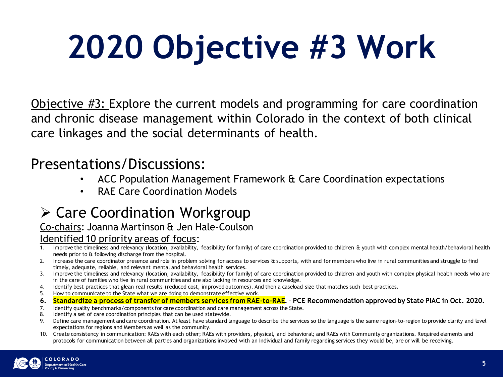## **2020 Objective #3 Work**

Objective #3: Explore the current models and programming for care coordination and chronic disease management within Colorado in the context of both clinical care linkages and the social determinants of health.

#### Presentations/Discussions:

- ACC Population Management Framework & Care Coordination expectations
- RAE Care Coordination Models

### ➢ Care Coordination Workgroup

#### Co-chairs: Joanna Martinson & Jen Hale-Coulson

#### Identified 10 priority areas of focus:

- 1. Improve the timeliness and relevancy (location, availability, feasibility for family) of care coordination provided to children & youth with complex mental health/behavioral health needs prior to & following discharge from the hospital.
- 2. Increase the care coordinator presence and role in problem solving for access to services & supports, with and for members who live in rural communities and struggle to find timely, adequate, reliable, and relevant mental and behavioral health services.
- 3. Improve the timeliness and relevancy (location, availability, feasibility for family) of care coordination provided to children and youth with complex physical health needs who are in the care of families who live in rural communities and are also lacking in resources and knowledge.
- 4. Identify best practices that glean real results (reduced cost, improved outcomes). And then a caseload size that matches such best practices.
- 5. How to communicate to the State what we are doing to demonstrate effective work.
- **6. Standardize a process of transfer of members services from RAE-to-RAE. – PCE Recommendation approved by State PIAC in Oct. 2020.**
- 7. Identify quality benchmarks/components for care coordination and care management across the State.
- 8. Identify a set of care coordination principles that can be used statewide.
- 9. Define care management and care coordination. At least have standard language to describe the services so the language is the same region-to-region to provide clarity and level expectations for regions and Members as well as the community.
- 10. Create consistency in communication: RAEs with each other; RAEs with providers, physical, and behavioral; and RAEs with Community organizations. Required elements and protocols for communication between all parties and organizations involved with an individual and family regarding services they would be, are or will be receiving.

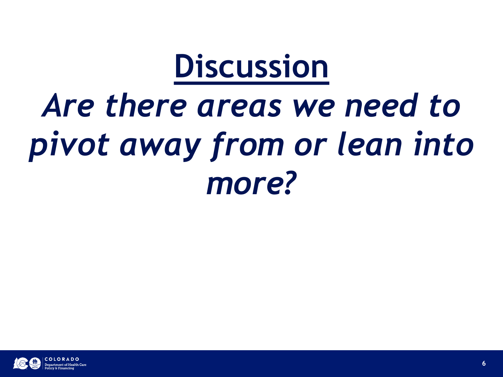### **Discussion**

### *Are there areas we need to pivot away from or lean into more?*